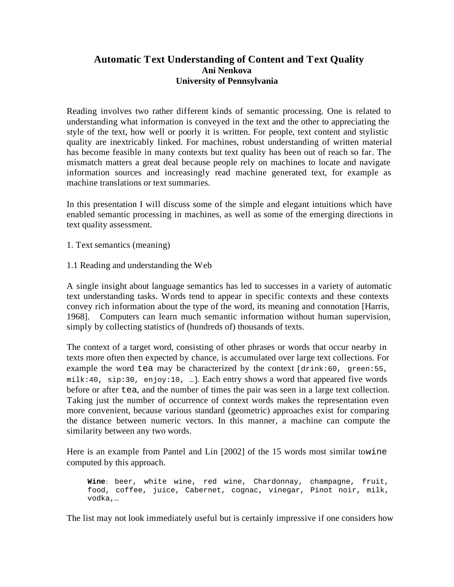## **Automatic Text Understanding of Content and Text Quality Ani Nenkova University of Pennsylvania**

Reading involves two rather different kinds of semantic processing. One is related to understanding what information is conveyed in the text and the other to appreciating the style of the text, how well or poorly it is written. For people, text content and stylistic quality are inextricably linked. For machines, robust understanding of written material has become feasible in many contexts but text quality has been out of reach so far. The mismatch matters a great deal because people rely on machines to locate and navigate information sources and increasingly read machine generated text, for example as machine translations or text summaries.

In this presentation I will discuss some of the simple and elegant intuitions which have enabled semantic processing in machines, as well as some of the emerging directions in text quality assessment.

1. Text semantics (meaning)

1.1 Reading and understanding the Web

A single insight about language semantics has led to successes in a variety of automatic text understanding tasks. Words tend to appear in specific contexts and these contexts convey rich information about the type of the word, its meaning and connotation [Harris, 1968]. Computers can learn much semantic information without human supervision, simply by collecting statistics of (hundreds of) thousands of texts.

The context of a target word, consisting of other phrases or words that occur nearby in texts more often then expected by chance, is accumulated over large text collections. For example the word tea may be characterized by the context [drink:60, green:55,  $milk:40$ ,  $sip:30$ ,  $enjoy:10$ , ...]. Each entry shows a word that appeared five words before or after tea*,* and the number of times the pair was seen in a large text collection. Taking just the number of occurrence of context words makes the representation even more convenient, because various standard (geometric) approaches exist for comparing the distance between numeric vectors. In this manner, a machine can compute the similarity between any two words.

Here is an example from Pantel and Lin [2002] of the 15 words most similar towine computed by this approach.

**Wine**: beer, white wine, red wine, Chardonnay, champagne, fruit, food, coffee, juice, Cabernet, cognac, vinegar, Pinot noir, milk, vodka,…

The list may not look immediately useful but is certainly impressive if one considers how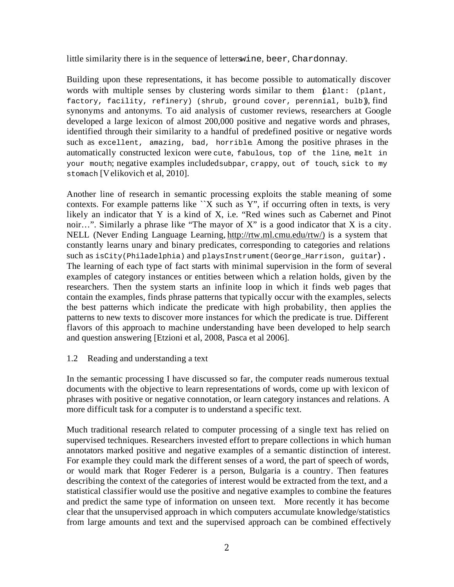little similarity there is in the sequence of letters wine, beer, Chardonnay.

Building upon these representations, it has become possible to automatically discover words with multiple senses by clustering words similar to them  $\beta$ lant: (plant, factory, facility, refinery) (shrub, ground cover, perennial, bulb)), find synonyms and antonyms. To aid analysis of customer reviews, researchers at Google developed a large lexicon of almost 200,000 positive and negative words and phrases, identified through their similarity to a handful of predefined positive or negative words such as excellent, amazing, bad, horrible. Among the positive phrases in the automatically constructed lexicon were cute, fabulous, top of the line, melt in your mouth; negative examples included subpar, crappy, out of touch, sick to my stomach [Velikovich et al, 2010].

Another line of research in semantic processing exploits the stable meaning of some contexts. For example patterns like  $X$  such as Y", if occurring often in texts, is very likely an indicator that Y is a kind of X, i.e. "Red wines such as Cabernet and Pinot noir…". Similarly a phrase like "The mayor of X" is a good indicator that X is a city. NELL (Never Ending Language Learning, [http://rtw.ml.cmu.edu/rtw/\)](http://rtw.ml.cmu.edu/rtw/)) is a system that constantly learns unary and binary predicates, corresponding to categories and relations such as isCity(Philadelphia) and playsInstrument(George\_Harrison, guitar). The learning of each type of fact starts with minimal supervision in the form of several examples of category instances or entities between which a relation holds, given by the researchers. Then the system starts an infinite loop in which it finds web pages that contain the examples, finds phrase patterns that typically occur with the examples, selects the best patterns which indicate the predicate with high probability, then applies the patterns to new texts to discover more instances for which the predicate is true. Different flavors of this approach to machine understanding have been developed to help search and question answering [Etzioni et al, 2008, Pasca et al 2006].

## 1.2 Reading and understanding a text

In the semantic processing I have discussed so far, the computer reads numerous textual documents with the objective to learn representations of words, come up with lexicon of phrases with positive or negative connotation, or learn category instances and relations. A more difficult task for a computer is to understand a specific text.

Much traditional research related to computer processing of a single text has relied on supervised techniques. Researchers invested effort to prepare collections in which human annotators marked positive and negative examples of a semantic distinction of interest. For example they could mark the different senses of a word, the part of speech of words, or would mark that Roger Federer is a person, Bulgaria is a country. Then features describing the context of the categories of interest would be extracted from the text, and a statistical classifier would use the positive and negative examples to combine the features and predict the same type of information on unseen text. More recently it has become clear that the unsupervised approach in which computers accumulate knowledge/statistics from large amounts and text and the supervised approach can be combined effectively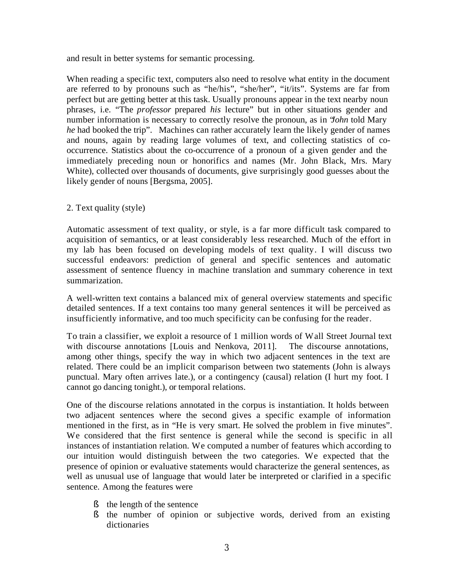and result in better systems for semantic processing.

When reading a specific text, computers also need to resolve what entity in the document are referred to by pronouns such as "he/his", "she/her", "it/its". Systems are far from perfect but are getting better at this task. Usually pronouns appear in the text nearby noun phrases, i.e. "The *professor* prepared *his* lecture" but in other situations gender and number information is necessary to correctly resolve the pronoun, as in "*John* told Mary *he* had booked the trip". Machines can rather accurately learn the likely gender of names and nouns, again by reading large volumes of text, and collecting statistics of cooccurrence. Statistics about the co-occurrence of a pronoun of a given gender and the immediately preceding noun or honorifics and names (Mr. John Black, Mrs. Mary White), collected over thousands of documents, give surprisingly good guesses about the likely gender of nouns [Bergsma, 2005].

## 2. Text quality (style)

Automatic assessment of text quality, or style, is a far more difficult task compared to acquisition of semantics, or at least considerably less researched. Much of the effort in my lab has been focused on developing models of text quality. I will discuss two successful endeavors: prediction of general and specific sentences and automatic assessment of sentence fluency in machine translation and summary coherence in text summarization.

A well-written text contains a balanced mix of general overview statements and specific detailed sentences. If a text contains too many general sentences it will be perceived as insufficiently informative, and too much specificity can be confusing for the reader.

To train a classifier, we exploit a resource of 1 million words of Wall Street Journal text with discourse annotations [Louis and Nenkova, 2011]. The discourse annotations, among other things, specify the way in which two adjacent sentences in the text are related. There could be an implicit comparison between two statements (John is always punctual. Mary often arrives late.), or a contingency (causal) relation (I hurt my foot. I cannot go dancing tonight.), or temporal relations.

One of the discourse relations annotated in the corpus is instantiation. It holds between two adjacent sentences where the second gives a specific example of information mentioned in the first, as in "He is very smart. He solved the problem in five minutes". We considered that the first sentence is general while the second is specific in all instances of instantiation relation. We computed a number of features which according to our intuition would distinguish between the two categories. We expected that the presence of opinion or evaluative statements would characterize the general sentences, as well as unusual use of language that would later be interpreted or clarified in a specific sentence. Among the features were

- § the length of the sentence
- § the number of opinion or subjective words, derived from an existing dictionaries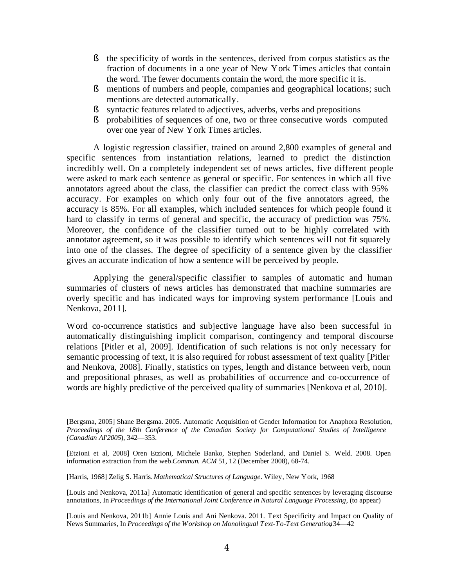- § the specificity of words in the sentences, derived from corpus statistics as the fraction of documents in a one year of New York Times articles that contain the word. The fewer documents contain the word, the more specific it is.
- § mentions of numbers and people, companies and geographical locations; such mentions are detected automatically.
- § syntactic features related to adjectives, adverbs, verbs and prepositions
- § probabilities of sequences of one, two or three consecutive words computed over one year of New York Times articles.

A logistic regression classifier, trained on around 2,800 examples of general and specific sentences from instantiation relations, learned to predict the distinction incredibly well. On a completely independent set of news articles, five different people were asked to mark each sentence as general or specific. For sentences in which all five annotators agreed about the class, the classifier can predict the correct class with 95% accuracy. For examples on which only four out of the five annotators agreed, the accuracy is 85%. For all examples, which included sentences for which people found it hard to classify in terms of general and specific, the accuracy of prediction was 75%. Moreover, the confidence of the classifier turned out to be highly correlated with annotator agreement, so it was possible to identify which sentences will not fit squarely into one of the classes. The degree of specificity of a sentence given by the classifier gives an accurate indication of how a sentence will be perceived by people.

Applying the general/specific classifier to samples of automatic and human summaries of clusters of news articles has demonstrated that machine summaries are overly specific and has indicated ways for improving system performance [Louis and Nenkova, 2011].

Word co-occurrence statistics and subjective language have also been successful in automatically distinguishing implicit comparison, contingency and temporal discourse relations [Pitler et al, 2009]. Identification of such relations is not only necessary for semantic processing of text, it is also required for robust assessment of text quality [Pitler and Nenkova, 2008]. Finally, statistics on types, length and distance between verb, noun and prepositional phrases, as well as probabilities of occurrence and co-occurrence of words are highly predictive of the perceived quality of summaries [Nenkova et al, 2010].

[Etzioni et al, 2008] Oren Etzioni, Michele Banko, Stephen Soderland, and Daniel S. Weld. 2008. Open information extraction from the web. *Commun. ACM* 51, 12 (December 2008), 68-74.

[Harris, 1968] Zelig S. Harris. *Mathematical Structures of Language*. Wiley, New York, 1968

[Louis and Nenkova, 2011a] Automatic identification of general and specific sentences by leveraging discourse annotations, In *Proceedings of the International Joint Conference in Natural Language Processing*, (to appear)

[Louis and Nenkova, 2011b] Annie Louis and Ani Nenkova. 2011. Text Specificity and Impact on Quality of News Summaries, In *Proceedings of the Workshop on Monolingual Text-To-Text Generation*, 34—42

<sup>[</sup>Bergsma, 2005] Shane Bergsma. 2005. Automatic Acquisition of Gender Information for Anaphora Resolution, *Proceedings of the 18th Conference of the Canadian Society for Computational Studies of Intelligence (Canadian AI'2005*), 342—353.